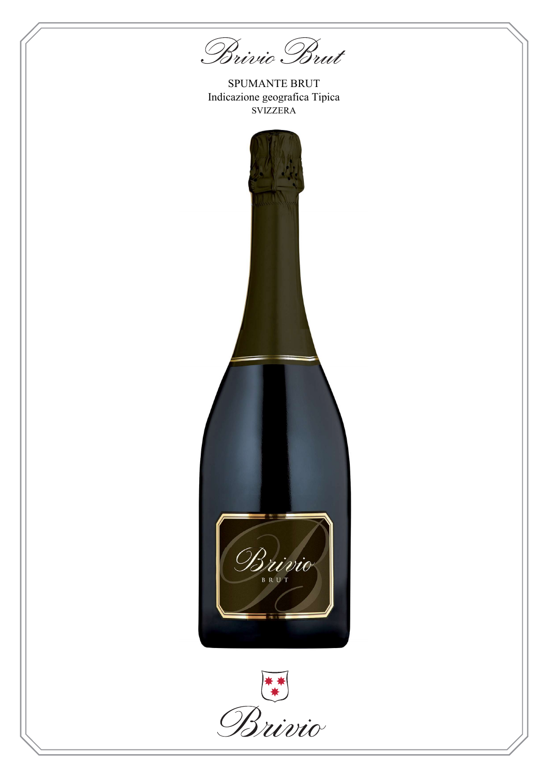Brivio Brut

SPUMANTE BRUT Indicazione geografica Tipica SVIZZERA



Brivio